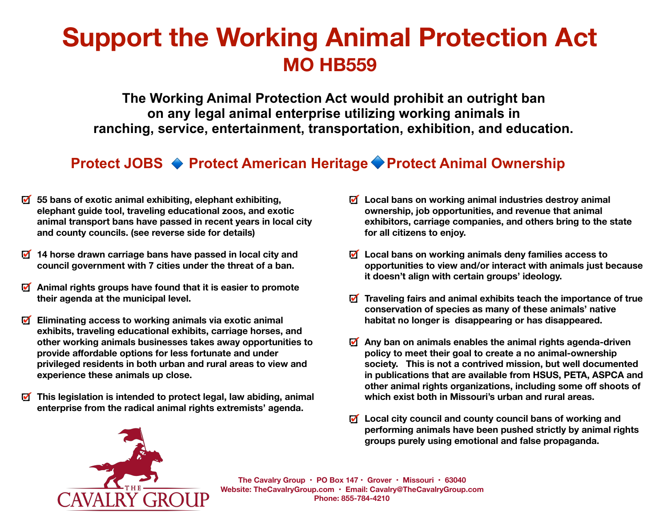# **Support the Working Animal Protection Act MO HB559**

**The Working Animal Protection Act would prohibit an outright ban on any legal animal enterprise utilizing working animals in ranching, service, entertainment, transportation, exhibition, and education.** 

# **Protect JOBS ♦ Protect American Heritage ♦ Protect Animal Ownership**

- **55 bans of exotic animal exhibiting, elephant exhibiting, elephant guide tool, traveling educational zoos, and exotic animal transport bans have passed in recent years in local city and county councils. (see reverse side for details)**
- **14 horse drawn carriage bans have passed in local city and council government with 7 cities under the threat of a ban.**
- **Animal rights groups have found that it is easier to promote their agenda at the municipal level.**
- $\blacksquare$ **Eliminating access to working animals via exotic animal exhibits, traveling educational exhibits, carriage horses, and other working animals businesses takes away opportunities to provide affordable options for less fortunate and under privileged residents in both urban and rural areas to view and experience these animals up close.**
- **This legislation is intended to protect legal, law abiding, animal**   $\blacksquare$ **enterprise from the radical animal rights extremists' agenda.**
- **Local bans on working animal industries destroy animal ownership, job opportunities, and revenue that animal exhibitors, carriage companies, and others bring to the state for all citizens to enjoy.**
- **Local bans on working animals deny families access to opportunities to view and/or interact with animals just because it doesn't align with certain groups' ideology.**
- **Traveling fairs and animal exhibits teach the importance of true conservation of species as many of these animals' native habitat no longer is disappearing or has disappeared.**
- **Any ban on animals enables the animal rights agenda-driven policy to meet their goal to create a no animal-ownership society. This is not a contrived mission, but well documented in publications that are available from HSUS, PETA, ASPCA and other animal rights organizations, including some off shoots of which exist both in Missouri's urban and rural areas.**
- **Local city council and county council bans of working and performing animals have been pushed strictly by animal rights groups purely using emotional and false propaganda.**



**The Cavalry Group • PO Box 147 • Grover • Missouri • 63040 Website: [TheCavalryGroup.com](http://TheCavalryGroup.com) • Email: [Cavalry@TheCavalryGroup.com](mailto:cavalry@TheCavalryGroup.com) Phone: 855-784-4210**